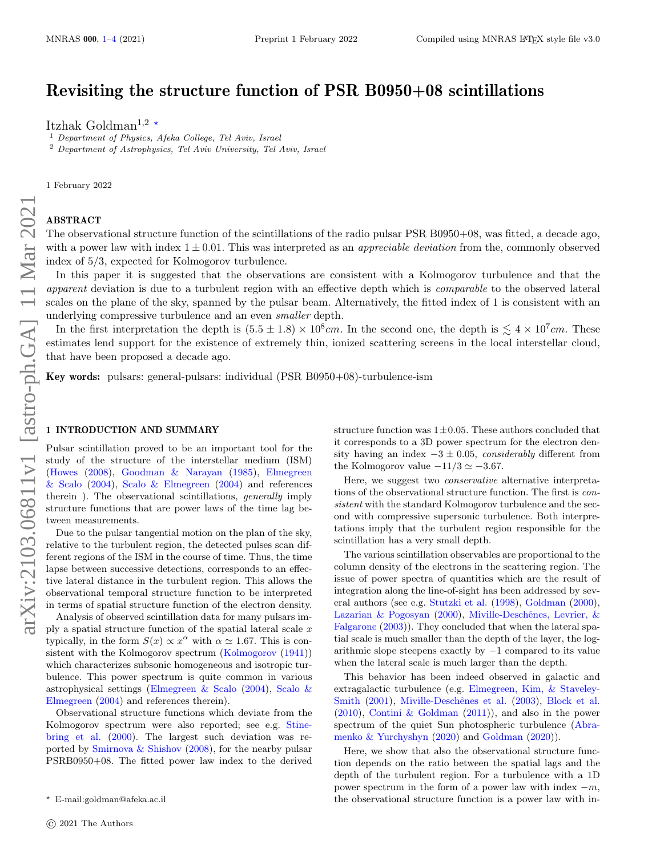# Revisiting the structure function of PSR B0950+08 scintillations

Itzhak Goldman<sup>1,2</sup> \*

 $<sup>1</sup>$  Department of Physics, Afeka College, Tel Aviv, Israel</sup> <sup>2</sup> Department of Astrophysics, Tel Aviv University, Tel Aviv, Israel

1 February 2022

## ABSTRACT

The observational structure function of the scintillations of the radio pulsar PSR B0950+08, was fitted, a decade ago, with a power law with index  $1 \pm 0.01$ . This was interpreted as an *appreciable deviation* from the, commonly observed index of 5/3, expected for Kolmogorov turbulence.

In this paper it is suggested that the observations are consistent with a Kolmogorov turbulence and that the apparent deviation is due to a turbulent region with an effective depth which is comparable to the observed lateral scales on the plane of the sky, spanned by the pulsar beam. Alternatively, the fitted index of 1 is consistent with an underlying compressive turbulence and an even *smaller* depth.

In the first interpretation the depth is  $(5.5 \pm 1.8) \times 10^8$  cm. In the second one, the depth is  $\lesssim 4 \times 10^7$  cm. These estimates lend support for the existence of extremely thin, ionized scattering screens in the local interstellar cloud, that have been proposed a decade ago.

Key words: pulsars: general-pulsars: individual (PSR B0950+08)-turbulence-ism

#### <span id="page-0-0"></span>1 INTRODUCTION AND SUMMARY

Pulsar scintillation proved to be an important tool for the study of the structure of the interstellar medium (ISM) [\(Howes](#page-3-0) [\(2008\)](#page-3-0), [Goodman & Narayan](#page-3-1) [\(1985\)](#page-3-1), [Elmegreen](#page-3-2) [& Scalo](#page-3-2) [\(2004\)](#page-3-3), [Scalo & Elmegreen](#page-3-3) (2004) and references therein ). The observational scintillations, generally imply structure functions that are power laws of the time lag between measurements.

Due to the pulsar tangential motion on the plan of the sky, relative to the turbulent region, the detected pulses scan different regions of the ISM in the course of time. Thus, the time lapse between successive detections, corresponds to an effective lateral distance in the turbulent region. This allows the observational temporal structure function to be interpreted in terms of spatial structure function of the electron density.

Analysis of observed scintillation data for many pulsars imply a spatial structure function of the spatial lateral scale  $x$ typically, in the form  $S(x) \propto x^{\alpha}$  with  $\alpha \simeq 1.67$ . This is con-sistent with the Kolmogorov spectrum [\(Kolmogorov](#page-3-4) [\(1941\)](#page-3-4)) which characterizes subsonic homogeneous and isotropic turbulence. This power spectrum is quite common in various astrophysical settings [\(Elmegreen & Scalo](#page-3-2) [\(2004\)](#page-3-2), [Scalo &](#page-3-3) [Elmegreen](#page-3-3) [\(2004\)](#page-3-3) and references therein).

Observational structure functions which deviate from the Kolmogorov spectrum were also reported; see e.g. [Stine](#page-3-5)[bring et al.](#page-3-5) [\(2000\)](#page-3-5). The largest such deviation was reported by [Smirnova & Shishov](#page-3-6) [\(2008\)](#page-3-6), for the nearby pulsar PSRB0950+08. The fitted power law index to the derived structure function was  $1 \pm 0.05$ . These authors concluded that it corresponds to a 3D power spectrum for the electron density having an index  $-3 \pm 0.05$ , considerably different from the Kolmogorov value  $-11/3 \simeq -3.67$ .

Here, we suggest two conservative alternative interpretations of the observational structure function. The first is consistent with the standard Kolmogorov turbulence and the second with compressive supersonic turbulence. Both interpretations imply that the turbulent region responsible for the scintillation has a very small depth.

The various scintillation observables are proportional to the column density of the electrons in the scattering region. The issue of power spectra of quantities which are the result of integration along the line-of-sight has been addressed by several authors (see e.g. [Stutzki et al.](#page-3-7) [\(1998\)](#page-3-7), [Goldman](#page-3-8) [\(2000\)](#page-3-8), [Lazarian & Pogosyan](#page-3-9) [\(2000\)](#page-3-9), Miville-Deschênes, Levrier, & [Falgarone](#page-3-10) [\(2003\)](#page-3-10)). They concluded that when the lateral spatial scale is much smaller than the depth of the layer, the logarithmic slope steepens exactly by  $-1$  compared to its value when the lateral scale is much larger than the depth.

This behavior has been indeed observed in galactic and extragalactic turbulence (e.g. [Elmegreen, Kim, & Staveley-](#page-3-11)[Smith](#page-3-11) [\(2001\)](#page-3-11), Miville-Deschênes et al. [\(2003\)](#page-3-12), [Block et al.](#page-3-13) [\(2010\)](#page-3-13), [Contini & Goldman](#page-3-14) [\(2011\)](#page-3-14)), and also in the power spectrum of the quiet Sun photospheric turbulence [\(Abra](#page-3-15)[menko & Yurchyshyn](#page-3-15) [\(2020\)](#page-3-15) and [Goldman](#page-3-16) [\(2020\)](#page-3-16)).

Here, we show that also the observational structure function depends on the ratio between the spatial lags and the depth of the turbulent region. For a turbulence with a 1D power spectrum in the form of a power law with index  $-m$ , the observational structure function is a power law with in-

<sup>?</sup> E-mail:goldman@afeka.ac.il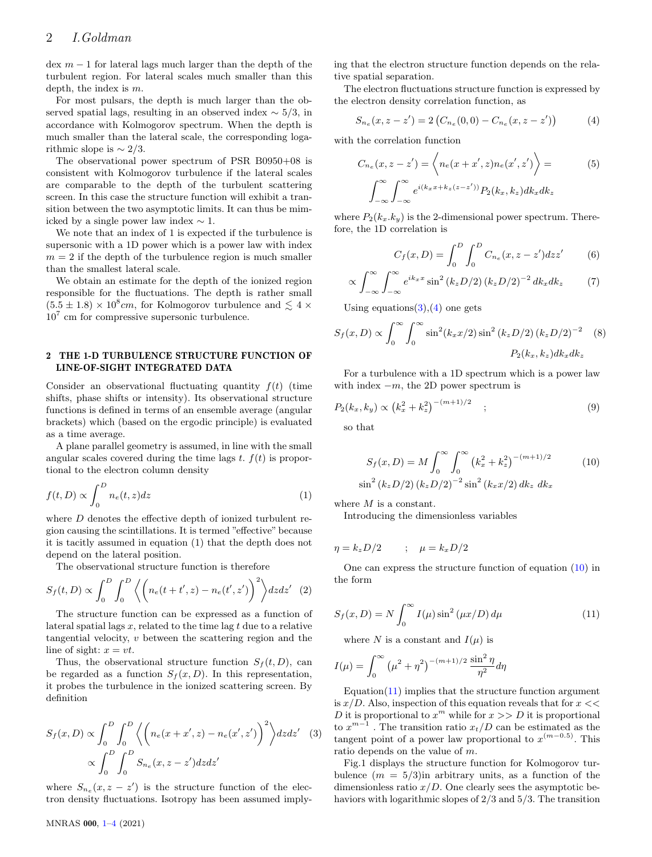$\text{dex } m-1$  for lateral lags much larger than the depth of the turbulent region. For lateral scales much smaller than this depth, the index is m.

For most pulsars, the depth is much larger than the observed spatial lags, resulting in an observed index  $\sim$  5/3, in accordance with Kolmogorov spectrum. When the depth is much smaller than the lateral scale, the corresponding logarithmic slope is  $\sim 2/3$ .

The observational power spectrum of PSR B0950+08 is consistent with Kolmogorov turbulence if the lateral scales are comparable to the depth of the turbulent scattering screen. In this case the structure function will exhibit a transition between the two asymptotic limits. It can thus be mimicked by a single power law index  $\sim 1$ .

We note that an index of 1 is expected if the turbulence is supersonic with a 1D power which is a power law with index  $m = 2$  if the depth of the turbulence region is much smaller than the smallest lateral scale.

We obtain an estimate for the depth of the ionized region responsible for the fluctuations. The depth is rather small  $(5.5 \pm 1.8) \times 10^8$ cm, for Kolmogorov turbulence and  $\lesssim 4 \times$ 10<sup>7</sup> cm for compressive supersonic turbulence.

#### 2 THE 1-D TURBULENCE STRUCTURE FUNCTION OF LINE-OF-SIGHT INTEGRATED DATA

Consider an observational fluctuating quantity  $f(t)$  (time shifts, phase shifts or intensity). Its observational structure functions is defined in terms of an ensemble average (angular brackets) which (based on the ergodic principle) is evaluated as a time average.

A plane parallel geometry is assumed, in line with the small angular scales covered during the time lags t.  $f(t)$  is proportional to the electron column density

$$
f(t,D) \propto \int_0^D n_e(t,z)dz
$$
 (1)

where D denotes the effective depth of ionized turbulent region causing the scintillations. It is termed "effective" because it is tacitly assumed in equation (1) that the depth does not depend on the lateral position.

The observational structure function is therefore

$$
S_f(t,D) \propto \int_0^D \int_0^D \left\langle \left( n_e(t+t',z) - n_e(t',z') \right)^2 \right\rangle dz dz' \quad (2)
$$

The structure function can be expressed as a function of lateral spatial lags  $x$ , related to the time lag  $t$  due to a relative tangential velocity, v between the scattering region and the line of sight:  $x = vt$ .

Thus, the observational structure function  $S_f(t, D)$ , can be regarded as a function  $S_f(x, D)$ . In this representation, it probes the turbulence in the ionized scattering screen. By definition

<span id="page-1-0"></span>
$$
S_f(x, D) \propto \int_0^D \int_0^D \left\langle \left( n_e(x + x', z) - n_e(x', z') \right)^2 \right\rangle dz dz' \quad (3)
$$

$$
\propto \int_0^D \int_0^D S_{n_e}(x, z - z') dz dz'
$$

where  $S_{n_e}(x, z - z')$  is the structure function of the electron density fluctuations. Isotropy has been assumed implying that the electron structure function depends on the relative spatial separation.

The electron fluctuations structure function is expressed by the electron density correlation function, as

<span id="page-1-1"></span>
$$
S_{n_e}(x, z - z') = 2\left(C_{n_e}(0, 0) - C_{n_e}(x, z - z')\right)
$$
 (4)

with the correlation function

$$
C_{n_e}(x, z - z') = \left\langle n_e(x + x', z)n_e(x', z') \right\rangle = \tag{5}
$$

$$
\int_{-\infty}^{\infty} \int_{-\infty}^{\infty} e^{i(k_x x + k_z(z - z'))} P_2(k_x, k_z) dk_x dk_z
$$

where  $P_2(k_x, k_y)$  is the 2-dimensional power spectrum. Therefore, the 1D correlation is

$$
C_f(x, D) = \int_0^D \int_0^D C_{n_e}(x, z - z') dz z' \tag{6}
$$

$$
\propto \int_{-\infty}^{\infty} \int_{-\infty}^{\infty} e^{ik_x x} \sin^2 \left(k_z D/2\right) \left(k_z D/2\right)^{-2} dk_x dk_z \tag{7}
$$

Using equations $(3),(4)$  $(3),(4)$  $(3),(4)$  one gets

$$
S_f(x, D) \propto \int_0^\infty \int_0^\infty \sin^2(k_x x/2) \sin^2(k_z D/2) (k_z D/2)^{-2} \quad (8)
$$
  
 
$$
P_2(k_x, k_z) dk_x dk_z
$$

For a turbulence with a 1D spectrum which is a power law with index  $-m$ , the 2D power spectrum is

$$
P_2(k_x, k_y) \propto (k_x^2 + k_z^2)^{-(m+1)/2} \quad ; \tag{9}
$$

so that

si

<span id="page-1-2"></span>
$$
S_f(x, D) = M \int_0^{\infty} \int_0^{\infty} (k_x^2 + k_z^2)^{-(m+1)/2}
$$
 (10)  

$$
n^2 (k_z D/2) (k_z D/2)^{-2} \sin^2 (k_x x/2) dk_z dk_x
$$

where  $M$  is a constant.

<span id="page-1-3"></span>Introducing the dimensionless variables

$$
\eta = k_z D/2 \qquad ; \quad \mu = k_x D/2
$$

One can express the structure function of equation [\(10\)](#page-1-2) in the form

$$
S_f(x, D) = N \int_0^\infty I(\mu) \sin^2(\mu x/D) d\mu \tag{11}
$$

<span id="page-1-4"></span>where N is a constant and  $I(\mu)$  is

$$
I(\mu) = \int_0^\infty \left(\mu^2 + \eta^2\right)^{-(m+1)/2} \frac{\sin^2 \eta}{\eta^2} d\eta
$$

Equation $(11)$  implies that the structure function argument is  $x/D$ . Also, inspection of this equation reveals that for  $x \ll$ D it is proportional to  $x^m$  while for  $x >> D$  it is proportional to  $x^{m-1}$ . The transition ratio  $x_t/D$  can be estimated as the tangent point of a power law proportional to  $x^{(m-0.5)}$ . This ratio depends on the value of m.

Fig.1 displays the structure function for Kolmogorov turbulence  $(m = 5/3)$ in arbitrary units, as a function of the dimensionless ratio  $x/D$ . One clearly sees the asymptotic behaviors with logarithmic slopes of 2/3 and 5/3. The transition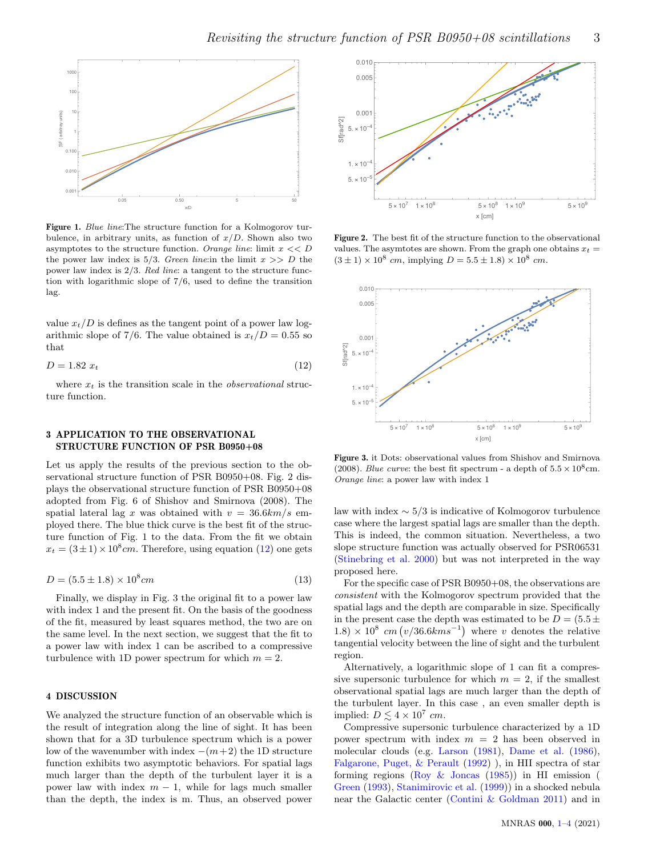

Figure 1. Blue line:The structure function for a Kolmogorov turbulence, in arbitrary units, as function of  $x/D$ . Shown also two asymptotes to the structure function. Orange line: limit  $x \ll D$ the power law index is  $5/3$ . Green line: in the limit  $x \gg D$  the power law index is 2/3. Red line: a tangent to the structure function with logarithmic slope of 7/6, used to define the transition lag.

value  $x_t/D$  is defines as the tangent point of a power law logarithmic slope of 7/6. The value obtained is  $x_t/D = 0.55$  so that

$$
D = 1.82 x_t \tag{12}
$$

where  $x_t$  is the transition scale in the *observational* structure function.

## 3 APPLICATION TO THE OBSERVATIONAL STRUCTURE FUNCTION OF PSR B0950+08

Let us apply the results of the previous section to the observational structure function of PSR B0950+08. Fig. 2 displays the observational structure function of PSR B0950+08 adopted from Fig. 6 of Shishov and Smirnova (2008). The spatial lateral lag x was obtained with  $v = 36.6 \text{km/s}$  employed there. The blue thick curve is the best fit of the structure function of Fig. 1 to the data. From the fit we obtain  $x_t = (3 \pm 1) \times 10^8$  cm. Therefore, using equation [\(12\)](#page-1-4) one gets

$$
D = (5.5 \pm 1.8) \times 10^8 cm \tag{13}
$$

Finally, we display in Fig. 3 the original fit to a power law with index 1 and the present fit. On the basis of the goodness of the fit, measured by least squares method, the two are on the same level. In the next section, we suggest that the fit to a power law with index 1 can be ascribed to a compressive turbulence with 1D power spectrum for which  $m = 2$ .

## <span id="page-2-0"></span>4 DISCUSSION

We analyzed the structure function of an observable which is the result of integration along the line of sight. It has been shown that for a 3D turbulence spectrum which is a power low of the wavenumber with index  $-(m+2)$  the 1D structure function exhibits two asymptotic behaviors. For spatial lags much larger than the depth of the turbulent layer it is a power law with index  $m - 1$ , while for lags much smaller than the depth, the index is m. Thus, an observed power



Figure 2. The best fit of the structure function to the observational values. The asymtotes are shown. From the graph one obtains  $x_t =$  $(3 \pm 1) \times 10^8$  cm, implying  $D = 5.5 \pm 1.8 \times 10^8$  cm.



Figure 3. it Dots: observational values from Shishov and Smirnova (2008). Blue curve: the best fit spectrum - a depth of  $5.5 \times 10^8$  cm. Orange line: a power law with index 1

law with index  $\sim 5/3$  is indicative of Kolmogorov turbulence case where the largest spatial lags are smaller than the depth. This is indeed, the common situation. Nevertheless, a two slope structure function was actually observed for PSR06531 [\(Stinebring et al.](#page-3-5) [2000\)](#page-3-5) but was not interpreted in the way proposed here.

For the specific case of PSR B0950+08, the observations are consistent with the Kolmogorov spectrum provided that the spatial lags and the depth are comparable in size. Specifically in the present case the depth was estimated to be  $D = (5.5 \pm 1)$  $(1.8) \times 10^8$  cm  $(v/36.6km s^{-1})$  where v denotes the relative tangential velocity between the line of sight and the turbulent region.

Alternatively, a logarithmic slope of 1 can fit a compressive supersonic turbulence for which  $m = 2$ , if the smallest observational spatial lags are much larger than the depth of the turbulent layer. In this case , an even smaller depth is implied:  $D \lesssim 4 \times 10^7$  cm.

Compressive supersonic turbulence characterized by a 1D power spectrum with index  $m = 2$  has been observed in molecular clouds (e.g. [Larson](#page-3-17) [\(1981\)](#page-3-17), [Dame et al.](#page-3-18) [\(1986\)](#page-3-18), [Falgarone, Puget, & Perault](#page-3-19) [\(1992\)](#page-3-19) ), in HII spectra of star forming regions (Roy  $\&$  Joncas [\(1985\)](#page-3-20)) in HI emission ( [Green](#page-3-21) [\(1993\)](#page-3-21), [Stanimirovic et al.](#page-3-22) [\(1999\)](#page-3-22)) in a shocked nebula near the Galactic center [\(Contini & Goldman](#page-3-14) [2011\)](#page-3-14) and in